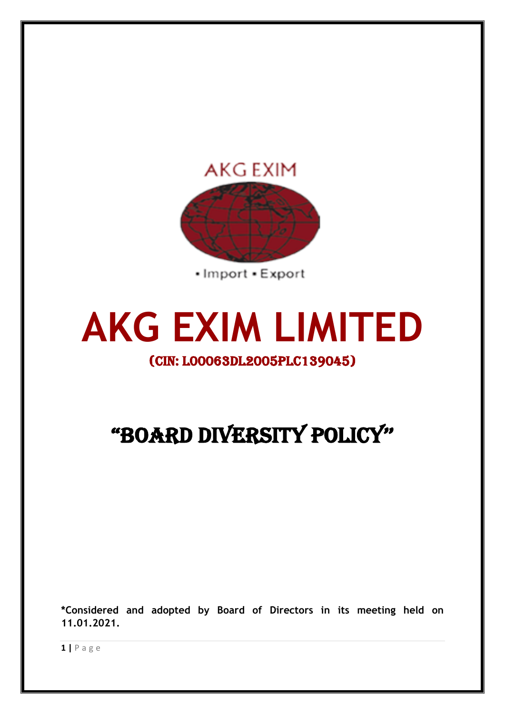

**AKG EXIM LIMITED**

# (CIN: L00063DL2005PLC139045)

# "BOARD DIVERSITY POLICY''

**\*Considered and adopted by Board of Directors in its meeting held on 11.01.2021.**

**1 |** P a g e